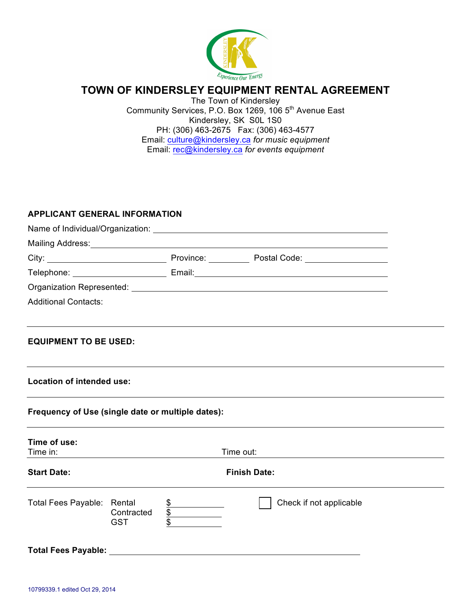

# **TOWN OF KINDERSLEY EQUIPMENT RENTAL AGREEMENT**

The Town of Kindersley Community Services, P.O. Box 1269, 106 5<sup>th</sup> Avenue East Kindersley, SK S0L 1S0 PH: (306) 463-2675 Fax: (306) 463-4577 Email: culture@kindersley.ca *for music equipment* Email: rec@kindersley.ca *for events equipment*

## **APPLICANT GENERAL INFORMATION**

|                                                   |                          |                                                                  | Name of Individual/Organization: Name of Individual/Organization:                                             |  |
|---------------------------------------------------|--------------------------|------------------------------------------------------------------|---------------------------------------------------------------------------------------------------------------|--|
|                                                   |                          |                                                                  | Mailing Address: Mailing Address: Mail and Mailing Address: Mail and Mail and Mail and Mail and Mail and Mail |  |
|                                                   |                          |                                                                  |                                                                                                               |  |
|                                                   |                          |                                                                  |                                                                                                               |  |
|                                                   |                          |                                                                  |                                                                                                               |  |
| <b>Additional Contacts:</b>                       |                          |                                                                  |                                                                                                               |  |
| <b>EQUIPMENT TO BE USED:</b>                      |                          |                                                                  |                                                                                                               |  |
| Location of intended use:                         |                          |                                                                  |                                                                                                               |  |
| Frequency of Use (single date or multiple dates): |                          |                                                                  |                                                                                                               |  |
| Time of use:<br>Time in:                          |                          |                                                                  | Time out:                                                                                                     |  |
| <b>Start Date:</b>                                |                          |                                                                  | <b>Finish Date:</b>                                                                                           |  |
| Total Fees Payable: Rental                        | Contracted<br><b>GST</b> | $\frac{\text{S}}{\text{S}}$<br>$\frac{\text{S}}{\text{S}}$<br>\$ | Check if not applicable                                                                                       |  |
|                                                   |                          |                                                                  |                                                                                                               |  |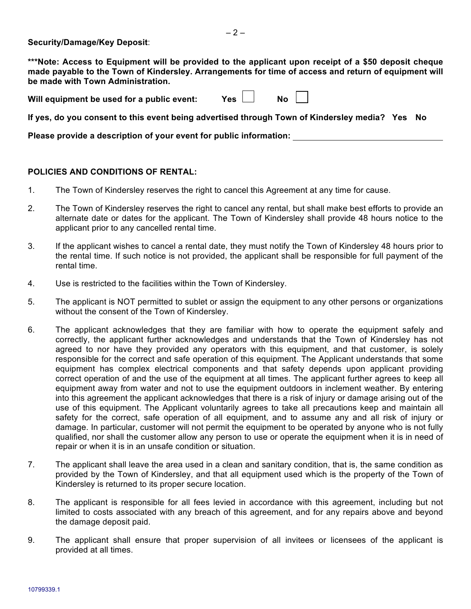**Security/Damage/Key Deposit**:

**\*\*\*Note: Access to Equipment will be provided to the applicant upon receipt of a \$50 deposit cheque made payable to the Town of Kindersley. Arrangements for time of access and return of equipment will be made with Town Administration.** 

Will equipment be used for a public event:  $Yes \Box$  No

**If yes, do you consent to this event being advertised through Town of Kindersley media? Yes No**

**Please provide a description of your event for public information:** 

## **POLICIES AND CONDITIONS OF RENTAL:**

- 1. The Town of Kindersley reserves the right to cancel this Agreement at any time for cause.
- 2. The Town of Kindersley reserves the right to cancel any rental, but shall make best efforts to provide an alternate date or dates for the applicant. The Town of Kindersley shall provide 48 hours notice to the applicant prior to any cancelled rental time.
- 3. If the applicant wishes to cancel a rental date, they must notify the Town of Kindersley 48 hours prior to the rental time. If such notice is not provided, the applicant shall be responsible for full payment of the rental time.
- 4. Use is restricted to the facilities within the Town of Kindersley.
- 5. The applicant is NOT permitted to sublet or assign the equipment to any other persons or organizations without the consent of the Town of Kindersley.
- 6. The applicant acknowledges that they are familiar with how to operate the equipment safely and correctly, the applicant further acknowledges and understands that the Town of Kindersley has not agreed to nor have they provided any operators with this equipment, and that customer, is solely responsible for the correct and safe operation of this equipment. The Applicant understands that some equipment has complex electrical components and that safety depends upon applicant providing correct operation of and the use of the equipment at all times. The applicant further agrees to keep all equipment away from water and not to use the equipment outdoors in inclement weather. By entering into this agreement the applicant acknowledges that there is a risk of injury or damage arising out of the use of this equipment. The Applicant voluntarily agrees to take all precautions keep and maintain all safety for the correct, safe operation of all equipment, and to assume any and all risk of injury or damage. In particular, customer will not permit the equipment to be operated by anyone who is not fully qualified, nor shall the customer allow any person to use or operate the equipment when it is in need of repair or when it is in an unsafe condition or situation.
- 7. The applicant shall leave the area used in a clean and sanitary condition, that is, the same condition as provided by the Town of Kindersley, and that all equipment used which is the property of the Town of Kindersley is returned to its proper secure location.
- 8. The applicant is responsible for all fees levied in accordance with this agreement, including but not limited to costs associated with any breach of this agreement, and for any repairs above and beyond the damage deposit paid.
- 9. The applicant shall ensure that proper supervision of all invitees or licensees of the applicant is provided at all times.